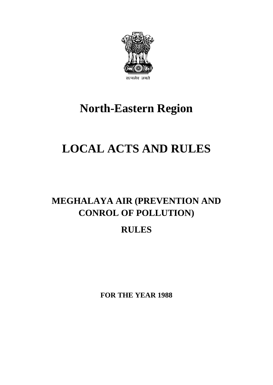

# **North-Eastern Region**

# **LOCAL ACTS AND RULES**

# **MEGHALAYA AIR (PREVENTION AND CONROL OF POLLUTION)**

# **RULES**

**FOR THE YEAR 1988**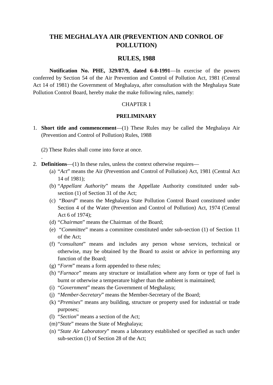# **POLLUTION) THE MEGHALAYA AIR (PREVENTION AND CONROL OF**

# **RULES, 1988**

**Notification No. PHE, 329/87/9, dated 6-8-1991**—In exercise of the powers conferred by Section 54 of the Air Prevention and Control of Pollution Act, 1981 (Central Act 14 of 1981) the Government of Meghalaya, after consultation with the Meghalaya State Pollution Control Board, hereby make the make following rules, namely:

#### CHAPTER 1

#### **PRELIMINARY**

1. **Short title and commencement**—(1) These Rules may be called the Meghalaya Air (Prevention and Control of Pollution) Rules, 1988

(2) These Rules shall come into force at once.

.

- 2. **Definitions**—(1) In these rules, unless the context otherwise requires—
	- (a) "*Act*" means the Air (Prevention and Control of Pollution) Act, 1981 (Central Act 14 of 1981);
	- (b) "*Appellant Authority*" means the Appellate Authority constituted under subsection (1) of Section 31 of the Act;
	- (c) "*Board*" means the Meghalaya State Pollution Control Board constituted under Section 4 of the Water (Prevention and Control of Pollution) Act, 1974 (Central Act 6 of 1974);
	- (d) "*Chairman*" means the Chairman of the Board;
	- (e) "*Committee*" means a committee constituted under sub-section (1) of Section 11 of the Act:
	- otherwise, may be obtained by the Board to assist or advice in performing any of the Act; (f) "*consultant*" means and includes any person whose services, technical or function of the Board;
	- (g) "*Form*" means a form appended to these rules;
	- (h) "*Furnace*" means any structure or installation where any form or type of fuel is burnt or otherwise a temperature higher than the ambient is maintained;
	- (i) "*Government*" means the Government of Meghalaya;
	- (j) "*Member-Secretary*" means the Member-Secretary of the Board;
	- (k) "*Premises*" means any building, structure or property used for industrial or trade purposes;
	- (l) "*Section*" means a section of the Act;
	- (m)"*State*" means the State of Meghalaya;
	- (n) "*State Air Laboratory*" means a laboratory established or specified as such under sub-section (1) of Section 28 of the Act;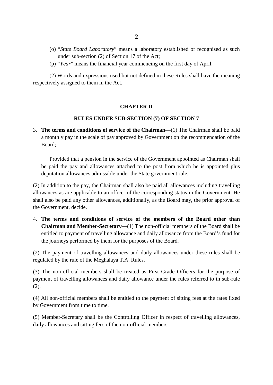- (o) "*State Board Laboratory*" means a laboratory established or recognised as such under sub-section (2) of Section 17 of the Act;
- (p) "*Year*" means the financial year commencing on the first day of April.

(2) Words and expressions used but not defined in these Rules shall have the meaning respectively assigned to them in the Act.

#### **CHAPTER II**

#### **RULES UNDER SUB-SECTION (7) OF SECTION 7**

3. **The terms and conditions of service of the Chairman**—(1) The Chairman shall be paid a monthly pay in the scale of pay approved by Government on the recommendation of the Board;

Provided that a pension in the service of the Government appointed as Chairman shall be paid the pay and allowances attached to the post from which he is appointed plus deputation allowances admissible under the State government rule.

(2) In addition to the pay, the Chairman shall also be paid all allowances including travelling allowances as are applicable to an officer of the corresponding status in the Government. He shall also be paid any other allowances, additionally, as the Board may, the prior approval of the Government, decide.

4. **The terms and conditions of service of the members of the Board other than Chairman and Member-Secretary—**(1) The non-official members of the Board shall be entitled to payment of travelling allowance and daily allowance from the Board's fund for the journeys performed by them for the purposes of the Board.

(2) The payment of travelling allowances and daily allowances under these rules shall be regulated by the rule of the Meghalaya T.A. Rules.

(3) The non-official members shall be treated as First Grade Officers for the purpose of payment of travelling allowances and daily allowance under the rules referred to in sub-rule (2).

(4) All non-official members shall be entitled to the payment of sitting fees at the rates fixed by Government from time to time.

(5) Member-Secretary shall be the Controlling Officer in respect of travelling allowances, daily allowances and sitting fees of the non-official members.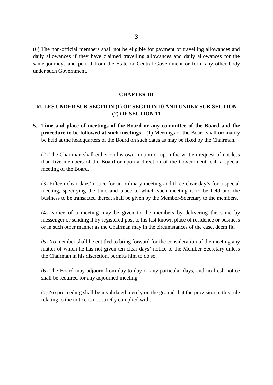(6) The non-official members shall not be eligible for payment of travelling allowances and daily allowances if they have claimed travelling allowances and daily allowances for the same journeys and period from the State or Central Government or form any other body under such Government.

#### **CHAPTER III**

# **RULES UNDER SUB-SECTION (1) OF SECTION 10 AND UNDER SUB-SECTION (2) OF SECTION 11**

5. **Time and place of meetings of the Board or any committee of the Board and the procedure to be followed at such meetings**—(1) Meetings of the Board shall ordinarily be held at the headquarters of the Board on such dates as may be fixed by the Chairman.

(2) The Chairman shall either on his own motion or upon the written request of not less than five members of the Board or upon a direction of the Government, call a special meeting of the Board.

(3) Fifteen clear days' notice for an ordinary meeting and three clear day's for a special meeting, specifying the time and place to which such meeting is to be held and the business to be transacted thereat shall be given by the Member-Secretary to the members.

(4) Notice of a meeting may be given to the members by delivering the same by messenger or sending it by registered post to his last known place of residence or business or in such other manner as the Chairman may in the circumstances of the case, deem fit.

(5) No member shall be entitled to bring forward for the consideration of the meeting any matter of which he has not given ten clear days' notice to the Member-Secretary unless the Chairman in his discretion, permits him to do so.

 (6) The Board may adjourn from day to day or any particular days, and no fresh notice shall be required for any adjourned meeting.

(7) No proceeding shall be invalidated merely on the ground that the provision in this rule relating to the notice is not strictly complied with.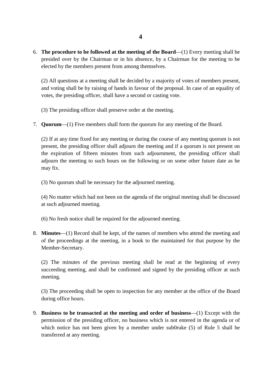6. **The procedure to be followed at the meeting of the Board**—(1) Every meeting shall be presided over by the Chairman or in his absence, by a Chairman for the meeting to be elected by the members present from among themselves.

(2) All questions at a meeting shall be decided by a majority of votes of members present, and voting shall be by raising of hands in favour of the proposal. In case of an equality of votes, the presiding officer, shall have a second or casting vote.

(3) The presiding officer shall preserve order at the meeting.

7. **Quorum**—(1) Five members shall form the quorum for any meeting of the Board.

 present, the presiding officer shall adjourn the meeting and if a quorum is not present on adjourn the meeting to such hours on the following or on some other future date as he (2) If at any time fixed for any meeting or during the course of any meeting quorum is not the expiration of fifteen minutes from such adjournment, the presiding officer shall may fix.

(3) No quorum shall be necessary for the adjourned meeting.

(4) No matter which had not been on the agenda of the original meeting shall be discussed at such adjourned meeting.

- (6) No fresh notice shall be required for the adjourned meeting.
- 8. **Minutes**—(1) Record shall be kept, of the names of members who attend the meeting and of the proceedings at the meeting, in a book to the maintained for that purpose by the Member-Secretary.

(2) The minutes of the previous meeting shall be read at the beginning of every succeeding meeting, and shall be confirmed and signed by the presiding officer at such meeting.

(3) The proceeding shall be open to inspection for any member at the office of the Board during office hours.

 9. **Business to be transacted at the meeting and order of business**—(1) Except with the which notice has not been given by a member under sub0ruke (5) of Rule 5 shall be permission of the presiding officer, no business which is not entered in the agenda or of transferred at any meeting.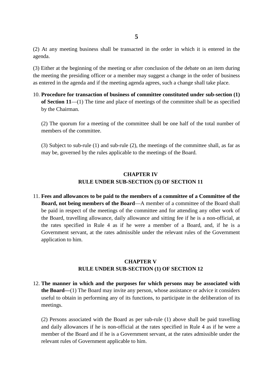(2) At any meeting business shall be transacted in the order in which it is entered in the agenda.

 the meeting the presiding officer or a member may suggest a change in the order of business (3) Either at the beginning of the meeting or after conclusion of the debate on an item during as entered in the agenda and if the meeting agenda agrees, such a change shall take place.

10. **Procedure for transaction of business of committee constituted under sub-section (1) of Section 11**—(1) The time and place of meetings of the committee shall be as specified by the Chairman.

(2) The quorum for a meeting of the committee shall be one half of the total number of members of the committee.

(3) Subject to sub-rule (1) and sub-rule (2), the meetings of the committee shall, as far as may be, governed by the rules applicable to the meetings of the Board.

# **CHAPTER IV RULE UNDER SUB-SECTION (3) OF SECTION 11**

 the Board, travelling allowance, daily allowance and sitting fee if he is a non-official, at 11. **Fees and allowances to be paid to the members of a committee of a Committee of the Board, not being members of the Board**—A member of a committee of the Board shall be paid in respect of the meetings of the committee and for attending any other work of the rates specified in Rule 4 as if he were a member of a Board, and, if he is a Government servant, at the rates admissible under the relevant rules of the Government application to him.

# **CHAPTER V RULE UNDER SUB-SECTION (1) OF SECTION 12**

12. **The manner in which and the purposes for which persons may be associated with the Board—**(1) The Board may invite any person, whose assistance or advice it considers useful to obtain in performing any of its functions, to participate in the deliberation of its meetings.

(2) Persons associated with the Board as per sub-rule (1) above shall be paid travelling and daily allowances if he is non-official at the rates specified in Rule 4 as if he were a member of the Board and if he is a Government servant, at the rates admissible under the relevant rules of Government applicable to him.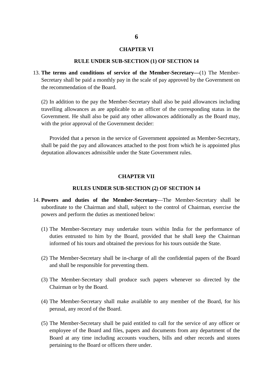#### **CHAPTER VI**

#### **RULE UNDER SUB-SECTION (1) OF SECTION 14**

13. **The terms and conditions of service of the Member-Secretary—**(1) The Member-Secretary shall be paid a monthly pay in the scale of pay approved by the Government on the recommendation of the Board.

 (2) In addition to the pay the Member-Secretary shall also be paid allowances including travelling allowances as are applicable to an officer of the corresponding status in the Government. He shall also be paid any other allowances additionally as the Board may, with the prior approval of the Government decider:

Provided that a person in the service of Government appointed as Member-Secretary, shall be paid the pay and allowances attached to the post from which he is appointed plus deputation allowances admissible under the State Government rules.

#### **CHAPTER VII**

#### **RULES UNDER SUB-SECTION (2) OF SECTION 14**

- 14. **Powers and duties of the Member-Secretary**—The Member-Secretary shall be subordinate to the Chairman and shall, subject to the control of Chairman, exercise the powers and perform the duties as mentioned below:
	- (1) The Member-Secretary may undertake tours within India for the performance of duties entrusted to him by the Board, provided that he shall keep the Chairman informed of his tours and obtained the previous for his tours outside the State.
	- (2) The Member-Secretary shall be in-charge of all the confidential papers of the Board and shall be responsible for preventing them.
	- Chairman or by the Board. (3) The Member-Secretary shall produce such papers whenever so directed by the
	- (4) The Member-Secretary shall make available to any member of the Board, for his perusal, any record of the Board.
	- (5) The Member-Secretary shall be paid entitled to call for the service of any officer or employee of the Board and files, papers and documents from any department of the Board at any time including accounts vouchers, bills and other records and stores pertaining to the Board or officers there under.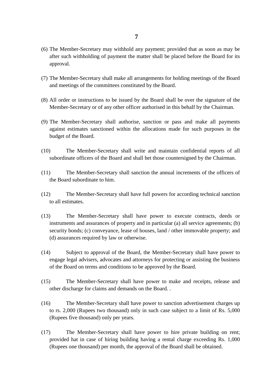- (6) The Member-Secretary may withhold any payment; provided that as soon as may be after such withholding of payment the matter shall be placed before the Board for its approval.
- (7) The Member-Secretary shall make all arrangements for holding meetings of the Board and meetings of the committees constituted by the Board.
- (8) All order or instructions to be issued by the Board shall be over the signature of the Member-Secretary or of any other officer authorised in this behalf by the Chairman.
- (9) The Member-Secretary shall authorise, sanction or pass and make all payments against estimates sanctioned within the allocations made for such purposes in the budget of the Board.
- subordinate officers of the Board and shall het those countersigned by the Chairman. (10) The Member-Secretary shall write and maintain confidential reports of all
- (11) The Member-Secretary shall sanction the annual increments of the officers of the Board subordinate to him.
- to all estimates. (12) The Member-Secretary shall have full powers for according technical sanction
- (d) assurances required by law or otherwise. (13) The Member-Secretary shall have power to execute contracts, deeds or instruments and assurances of property and in particular (a) all service agreements; (b) security bonds; (c) conveyance, lease of houses, land / other immovable property; and
- (14) Subject to approval of the Board, the Member-Secretary shall have power to engage legal advisers, advocates and attorneys for protecting or assisting the business of the Board on terms and conditions to be approved by the Board.
- other discharge for claims and demands on the Board. . (15) The Member-Secretary shall have power to make and receipts, release and
- (Rupees five thousand) only per years. (16) The Member-Secretary shall have power to sanction advertisement charges up to rs. 2,000 (Rupees two thousand) only in such case subject to a limit of Rs. 5,000
- (17) The Member-Secretary shall have power to hire private building on rent; provided hat in case of hiring building having a rental charge exceeding Rs. 1,000 (Rupees one thousand) per month, the approval of the Board shall be obtained.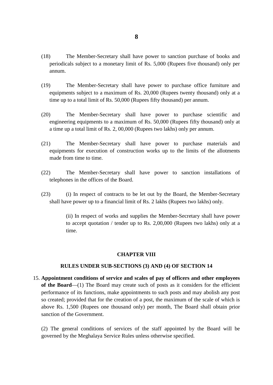- (18) The Member-Secretary shall have power to sanction purchase of books and periodicals subject to a monetary limit of Rs. 5,000 (Rupees five thousand) only per annum.
- (19) The Member-Secretary shall have power to purchase office furniture and equipments subject to a maximum of Rs. 20,000 (Rupees twenty thousand) only at a time up to a total limit of Rs. 50,000 (Rupees fifty thousand) per annum.
- engineering equipments to a maximum of Rs. 50,000 (Rupees fifty thousand) only at (20) The Member-Secretary shall have power to purchase scientific and a time up a total limit of Rs. 2, 00,000 (Rupees two lakhs) only per annum.
- (21) The Member-Secretary shall have power to purchase materials and equipments for execution of construction works up to the limits of the allotments made from time to time.
- (22) The Member-Secretary shall have power to sanction installations of telephones in the offices of the Board.
- (23) (i) In respect of contracts to be let out by the Board, the Member-Secretary shall have power up to a financial limit of Rs. 2 lakhs (Rupees two lakhs) only.

 to accept quotation / tender up to Rs. 2,00,000 (Rupees two lakhs) only at a (ii) In respect of works and supplies the Member-Secretary shall have power time.

#### **CHAPTER VIII**

#### **RULES UNDER SUB-SECTIONS (3) AND (4) OF SECTION 14**

15. **Appointment conditions of service and scales of pay of officers and other employees of the Board**—(1) The Board may create such of posts as it considers for the efficient performance of its functions, make appointments to such posts and may abolish any post so created; provided that for the creation of a post, the maximum of the scale of which is above Rs. 1,500 (Rupees one thousand only) per month, The Board shall obtain prior sanction of the Government.

 (2) The general conditions of services of the staff appointed by the Board will be governed by the Meghalaya Service Rules unless otherwise specified.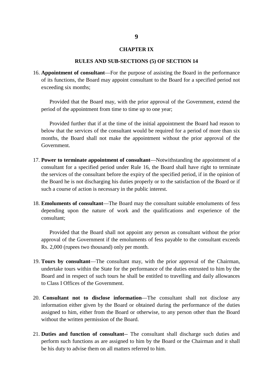#### **CHAPTER IX**

#### **RULES AND SUB-SECTIONS (5) OF SECTION 14**

16. **Appointment of consultant**—For the purpose of assisting the Board in the performance of its functions, the Board may appoint consultant to the Board for a specified period not exceeding six months;

 period of the appointment from time to time up to one year; Provided that the Board may, with the prior approval of the Government, extend the

 months, the Board shall not make the appointment without the prior approval of the Provided further that if at the time of the initial appointment the Board had reason to below that the services of the consultant would be required for a period of more than six Government.

- the services of the consultant before the expiry of the specified period, if in the opinion of 17. **Power to terminate appointment of consultant**—Notwithstanding the appointment of a consultant for a specified period under Rule 16, the Board shall have right to terminate the Board he is not discharging his duties properly or to the satisfaction of the Board or if such a course of action is necessary in the public interest.
- 18. **Emoluments of consultant**—The Board may the consultant suitable emoluments of fess depending upon the nature of work and the qualifications and experience of the consultant;

Provided that the Board shall not appoint any person as consultant without the prior approval of the Government if the emoluments of fess payable to the consultant exceeds Rs. 2,000 (rupees two thousand) only per month.

- 19. **Tours by consultant**—The consultant may, with the prior approval of the Chairman, Board and in respect of such tours he shall be entitled to travelling and daily allowances undertake tours within the State for the performance of the duties entrusted to him by the to Class I Offices of the Government.
- 20. **Consultant not to disclose information**—The consultant shall not disclose any information either given by the Board or obtained during the performance of the duties assigned to him, either from the Board or otherwise, to any person other than the Board without the written permission of the Board.
- 21. **Duties and function of consultant**-- The consultant shall discharge such duties and perform such functions as are assigned to him by the Board or the Chairman and it shall be his duty to advise them on all matters referred to him.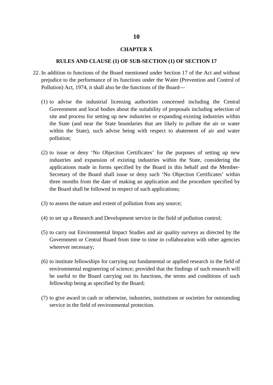#### **CHAPTER X**

#### **RULES AND CLAUSE (1) OF SUB-SECTION (1) OF SECTION 17**

- 22. In addition to functions of the Board mentioned under Section 17 of the Act and without prejudice to the performance of its functions under the Water (Prevention and Control of Pollution) Act, 1974, it shall also be the functions of the Board—
	- (1) to advise the industrial licensing authorities concerned including the Central Government and local bodies about the suitability of proposals including selection of site and process for setting up new industries or expanding existing industries within the State (and near the State boundaries that are likely to pollute the air or water within the State), such advise being with respect to abatement of air and water pollution;
	- applications made in forms specified by the Board in this behalf and the Member-(2) to issue or deny 'No Objection Certificates' for the purposes of setting up new industries and expansion of existing industries within the State, considering the Secretary of the Board shall issue or deny such 'No Objection Certificates' within three months from the date of making an application and the procedure specified by the Board shall be followed in respect of such applications;
	- (3) to assess the nature and extent of pollution from any source;
	- (4) to set up a Research and Development service in the field of pollution control;
	- (5) to carry out Environmental Impact Studies and air quality surveys as directed by the Government or Central Board from time to time in collaboration with other agencies wherever necessary;
	- (6) to institute fellowships for carrying out fundamental or applied research in the field of environmental engineering of science; provided that the findings of such research will be useful to the Board carrying out its functions, the terms and conditions of such fellowship being as specified by the Board;
	- (7) to give award in cash or otherwise, industries, institutions or societies for outstanding service in the field of environmental protection.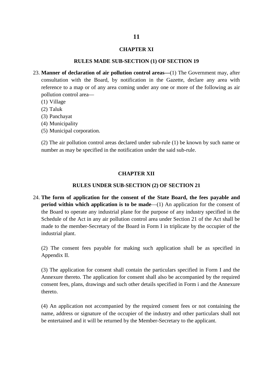#### **CHAPTER XI**

#### **RULES MADE SUB-SECTION (1) OF SECTION 19**

- 23. **Manner of declaration of air pollution control areas—**(1) The Government may, after consultation with the Board, by notification in the Gazette, declare any area with reference to a map or of any area coming under any one or more of the following as air pollution control area—
	- (1) Village
	- (2) Taluk
	- (3) Panchayat
	- (4) Municipality
	- (5) Municipal corporation.

(2) The air pollution control areas declared under sub-rule (1) be known by such name or number as may be specified in the notification under the said sub-rule.

## **CHAPTER XII**

#### **RULES UNDER SUB-SECTION (2) OF SECTION 21**

 Schedule of the Act in any air pollution control area under Section 21 of the Act shall be 24. **The form of application for the consent of the State Board, the fees payable and period within which application is to be made**—(1) An application for the consent of the Board to operate any industrial plane for the purpose of any industry specified in the made to the member-Secretary of the Board in Form I in triplicate by the occupier of the industrial plant.

(2) The consent fees payable for making such application shall be as specified in Appendix II.

 (3) The application for consent shall contain the particulars specified in Form I and the Annexure thereto. The application for consent shall also be accompanied by the required consent fees, plans, drawings and such other details specified in Form i and the Annexure thereto.

(4) An application not accompanied by the required consent fees or not containing the name, address or signature of the occupier of the industry and other particulars shall not be entertained and it will be returned by the Member-Secretary to the applicant.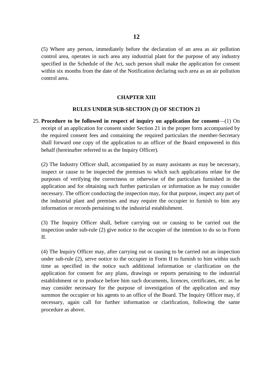(5) Where any person, immediately before the declaration of an area as air pollution control area, operates in such area any industrial plant for the purpose of any industry specified in the Schedule of the Act, such person shall make the application for consent within six months from the date of the Notification declaring such area as an air pollution control area.

#### **CHAPTER XIII**

#### **RULES UNDER SUB-SECTION (3) OF SECTION 21**

 receipt of an application for consent under Section 21 in the proper form accompanied by behalf (hereinafter referred to as the Inquiry Officer). 25. **Procedure to be followed in respect of inquiry on application for consent**—(1) On the required consent fees and containing the required particulars the member-Secretary shall forward one copy of the application to an officer of the Board empowered in this

(2) The Industry Officer shall, accompanied by as many assistants as may be necessary, inspect or cause to be inspected the premises to which such applications relate for the purposes of verifying the correctness or otherwise of the particulars furnished in the application and for obtaining such further particulars or information as he may consider necessary. The officer conducting the inspection may, for that purpose, inspect any part of the industrial plant and premises and may require the occupier to furnish to him any information or records pertaining to the industrial establishment.

(3) The Inquiry Officer shall, before carrying out or causing to be carried out the inspection under sub-rule (2) give notice to the occupier of the intention to do so in Form II.

 under sub-rule (2), serve notice to the occupier in Form II to furnish to him within such summon the occupier or his agents to an office of the Board. The Inquiry Officer may, if (4) The Inquiry Officer may, after carrying out or causing to be carried out an inspection time as specified in the notice such additional information or clarification on the application for consent for any plans, drawings or reports pertaining to the industrial establishment or to produce before him such documents, licences, certificates, etc. as he may consider necessary for the purpose of investigation of the application and may necessary, again call for further information or clarification, following the same procedure as above.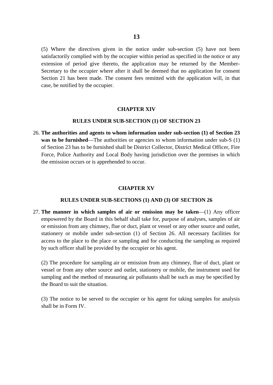satisfactorily complied with by the occupier within period as specified in the notice or any Secretary to the occupier where after it shall be deemed that no application for consent (5) Where the directives given in the notice under sub-section (5) have not been extension of period give thereto, the application may be returned by the Member-Section 21 has been made. The consent fees remitted with the application will, in that case, be notified by the occupier.

#### **CHAPTER XIV**

#### **RULES UNDER SUB-SECTION (1) OF SECTION 23**

 Force, Police Authority and Local Body having jurisdiction over the premises in which 26. **The authorities and agents to whom information under sub-section (1) of Section 23 was to be furnished—The authorities or agencies to whom information under sub-S (1)** of Section 23 has to be furnished shall be District Collector, District Medical Officer, Fire the emission occurs or is apprehended to occur.

#### **CHAPTER XV**

#### **RULES UNDER SUB-SECTIONS (1) AND (3) OF SECTION 26**

27. **The manner in which samples of air or emission may be taken**—(1) Any officer empowered by the Board in this behalf shall take for, purpose of analyses, samples of air or emission from any chimney, flue or duct, plant or vessel or any other source and outlet, stationery or mobile under sub-section (1) of Section 26. All necessary facilities for access to the place to the place or sampling and for conducting the sampling as required by such officer shall be provided by the occupier or his agent.

(2) The procedure for sampling air or emission from any chimney, flue of duct, plant or vessel or from any other source and outlet, stationery or mobile, the instrument used for sampling and the method of measuring air pollutants shall be such as may be specified by the Board to suit the situation.

 shall be in Form IV. (3) The notice to be served to the occupier or his agent for taking samples for analysis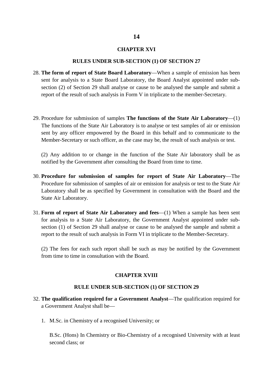#### **CHAPTER XVI**

#### **RULES UNDER SUB-SECTION (1) OF SECTION 27**

- 28. **The form of report of State Board Laboratory**—When a sample of emission has been sent for analysis to a State Board Laboratory, the Board Analyst appointed under subsection (2) of Section 29 shall analyse or cause to be analysed the sample and submit a report of the result of such analysis in Form V in triplicate to the member-Secretary.
- The functions of the State Air Laboratory is to analyse or test samples of air or emission 29. Procedure for submission of samples **The functions of the State Air Laboratory**—(1) sent by any officer empowered by the Board in this behalf and to communicate to the Member-Secretary or such officer, as the case may be, the result of such analysis or test.

(2) Any addition to or change in the function of the State Air laboratory shall be as notified by the Government after consulting the Board from time to time.

- State Air Laboratory. 30. **Procedure for submission of samples for report of State Air Laboratory**—The Procedure for submission of samples of air or emission for analysis or test to the State Air Laboratory shall be as specified by Government in consultation with the Board and the
- for analysis to a State Air Laboratory, the Government Analyst appointed under sub- report to the result of such analysis in Form VI in triplicate to the Member-Secretary. 31. **Form of report of State Air Laboratory and fees**—(1) When a sample has been sent section (1) of Section 29 shall analyse or cause to be analysed the sample and submit a

(2) The fees for each such report shall be such as may be notified by the Government from time to time in consultation with the Board.

#### **CHAPTER XVIII**

#### **RULE UNDER SUB-SECTION (1) OF SECTION 29**

- a Government Analyst shall be— 32. **The qualification required for a Government Analyst**—The qualification required for
	- 1. M.Sc. in Chemistry of a recognised University; or

 B.Sc. (Hons) In Chemistry or Bio-Chemistry of a recognised University with at least second class; or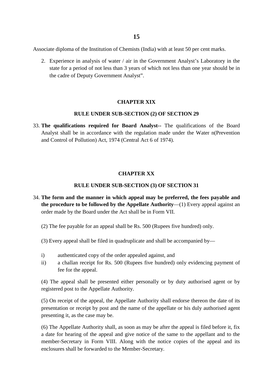Associate diploma of the Institution of Chemists (India) with at least 50 per cent marks.

 state for a period of not less than 3 years of which not less than one year should be in 2. Experience in analysis of water / air in the Government Analyst's Laboratory in the the cadre of Deputy Government Analyst".

#### **CHAPTER XIX**

#### **RULE UNDER SUB-SECTION (2) OF SECTION 29**

 33. **The qualifications required for Board Analyst--** The qualifications of the Board Analyst shall be in accordance with the regulation made under the Water n(Prevention and Control of Pollution) Act, 1974 (Central Act 6 of 1974).

## **CHAPTER XX**

#### **RULE UNDER SUB-SECTION (3) OF SECTION 31**

34. **The form and the manner in which appeal may be preferred, the fees payable and the procedure to be followed by the Appellate Authority**—(1) Every appeal against an order made by the Board under the Act shall be in Form VII.

(2) The fee payable for an appeal shall be Rs. 500 (Rupees five hundred) only.

(3) Every appeal shall be filed in quadruplicate and shall be accompanied by—

- i) authenticated copy of the order appealed against, and
- ii) a challan receipt for Rs. 500 (Rupees five hundred) only evidencing payment of fee for the appeal.

(4) The appeal shall be presented either personally or by duty authorised agent or by registered post to the Appellate Authority.

 presentation or receipt by post and the name of the appellate or his duly authorised agent (5) On receipt of the appeal, the Appellate Authority shall endorse thereon the date of its presenting it, as the case may be.

 (6) The Appellate Authority shall, as soon as may be after the appeal is filed before it, fix a date for hearing of the appeal and give notice of the same to the appellant and to the member-Secretary in Form VIII. Along with the notice copies of the appeal and its enclosures shall be forwarded to the Member-Secretary.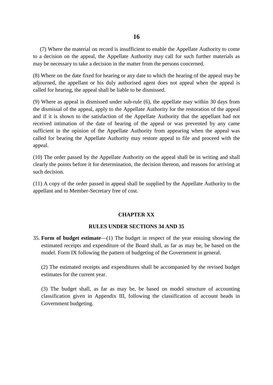(7) Where the material on record is insufficient to enable the Appellate Authority to come to a decision on the appeal, the Appellate Authority may call for such further materials as may be necessary to take a decision in the matter from the persons concerned.

(8) Where on the date fixed for hearing or any date to which the hearing of the appeal may be adjourned, the appellant or his duly authorised agent does not appeal when the appeal is called for hearing, the appeal shall be liable to be dismissed.

(9) Where as appeal in dismissed under sub-rule (6), the appellate may within 30 days from the dismissal of the appeal, apply to the Appellate Authority for the restoration of the appeal and if it is shown to the satisfaction of the Appellate Authority that the appellant had not received intimation of the date of hearing of the appeal or was prevented by any came sufficient in the opinion of the Appellate Authority from appearing when the appeal was called for bearing the Appellate Authority may restore appeal to file and proceed with the appeal.

 clearly the points before it for determination, the decision thereon, and reasons for arriving at (10) The order passed by the Appellate Authority on the appeal shall be in writing and shall such decision.

 (11) A copy of the order passed in appeal shall be supplied by the Appellate Authority to the appellant and to Member-Secretary free of cost.

#### **CHAPTER XX**

#### **RULES UNDER SECTIONS 34 AND 35**

 35. **Form of budget estimate**—(1) The budget in respect of the year ensuing showing the model. Form IX following the pattern of budgeting of the Government in general. estimated receipts and expenditure of the Board shall, as far as may be, be based on the

(2) The estimated receipts and expenditures shall be accompanied by the revised budget estimates for the current year.

(3) The budget shall, as far as may be, be based on model structure of accounting classification given in Appendix III, following the classification of account heads in Government budgeting.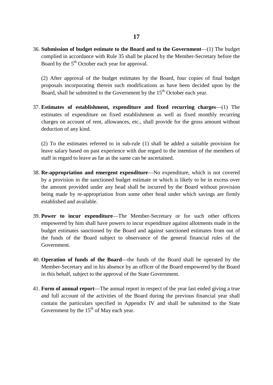Board by the 5<sup>th</sup> October each year for approval. 36. **Submission of budget estimate to the Board and to the Government**—(1) The budget complied in accordance with Rule 35 shall be placed by the Member-Secretary before the

(2) After approval of the budget estimates by the Board, four copies of final budget proposals incorporating therein such modifications as have been decided upon by the Board, shall be submitted to the Government by the  $15<sup>th</sup>$  October each year.

 charges on account of rent, allowances, etc., shall provide for the gross amount without 37. **Estimates of establishment, expenditure and fixed recurring charges**—(1) The estimates of expenditure on fixed establishment as well as fixed monthly recurring deduction of any kind.

(2) To the estimates referred to in sub-rule (1) shall be added a suitable provision for leave salary based on past experience with due regard to the intention of the members of staff in regard to leave as far as the same can be ascertained.

- 38. **Re-appropriation and emergent expenditure**—No expenditure, which is not covered by a provision in the sanctioned budget estimate or which is likely to be in excess over the amount provided under any head shall be incurred by the Board without provision being made by re-appropriation from some other head under which savings are firmly established and available.
- 39. **Power to incur expenditure**—The Member-Secretary or for such other officers empowered by him shall have powers to incur expenditure against allotments made in the budget estimates sanctioned by the Board and against sanctioned estimates from out of the funds of the Board subject to observance of the general financial rules of the Government.
- 40. **Operation of funds of the Board**—the funds of the Board shall be operated by the Member-Secretary and in his absence by an officer of the Board empowered by the Board in this behalf, subject to the approval of the State Government.
- and full account of the activities of the Board during the previous financial year shall 41. **Form of annual report**—The annual report in respect of the year last ended giving a true contain the particulars specified in Appendix IV and shall be submitted to the State Government by the  $15<sup>th</sup>$  of May each year.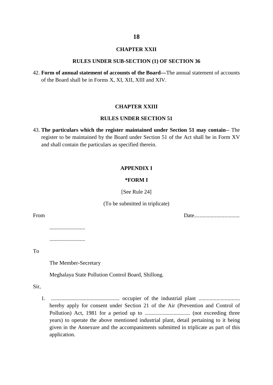#### **CHAPTER XXII**

#### **RULES UNDER SUB-SECTION (1) OF SECTION 36**

 of the Board shall be in Forms X, XI, XII, XIII and XIV. 42. **Form of annual statement of accounts of the Board—**The annual statement of accounts

#### **CHAPTER XXIII**

#### **RULES UNDER SECTION 51**

43. **The particulars which the register maintained under Section 51 may contain**-- The register to be maintained by the Board under Section 51 of the Act shall be in Form XV and shall contain the particulars as specified therein.

#### **APPENDIX I**

#### **\*FORM I**

[See Rule 24]

(To be submitted in triplicate)

From Date.................................

..........................

..........................

To

From

The Member-Secretary

Meghalaya State Pollution Control Board, Shillong.

Sir,

 hereby apply for consent under Section 21 of the Air (Prevention and Control of 1. .................................................. occupier of the industrial plant .............................. Pollution) Act, 1981 for a period up to ................................. (not exceeding three years) to operate the above mentioned industrial plant, detail pertaining to it being given in the Annexure and the accompaniments submitted in triplicate as part of this application.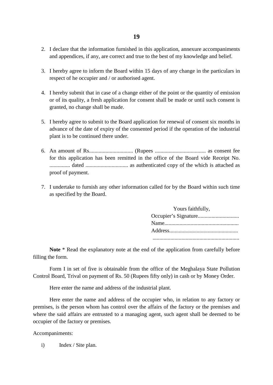- 2. I declare that the information furnished in this application, annexure accompaniments and appendices, if any, are correct and true to the best of my knowledge and belief.
- 3. I hereby agree to inform the Board within 15 days of any change in the particulars in respect of he occupier and / or authorised agent.
- 4. I hereby submit that in case of a change either of the point or the quantity of emission or of its quality, a fresh application for consent shall be made or until such consent is granted, no change shall be made.
- advance of the date of expiry of the consented period if the operation of the industrial 5. I hereby agree to submit to the Board application for renewal of consent six months in plant is to be continued there under.
- ............... dated ............................... as authenticated copy of the which is attached as 6. An amount of Rs................................ (Rupees ..................................... as consent fee for this application has been remitted in the office of the Board vide Receipt No. proof of payment.
- 7. I undertake to furnish any other information called for by the Board within such time as specified by the Board.

Yours faithfully, Occupier's Signature.............................. Name...................................................... Address.................................................. ...............................................................

**Note** \* Read the explanatory note at the end of the application from carefully before filling the form.

 Control Board, Trival on payment of Rs. 50 (Rupees fifty only) in cash or by Money Order. Form I in set of five is obtainable from the office of the Meghalaya State Pollution

Here enter the name and address of the industrial plant.

 Here enter the name and address of the occupier who, in relation to any factory or premises, is the person whom has control over the affairs of the factory or the premises and where the said affairs are entrusted to a managing agent, such agent shall be deemed to be occupier of the factory or premises.

Accompaniments:

i) Index / Site plan.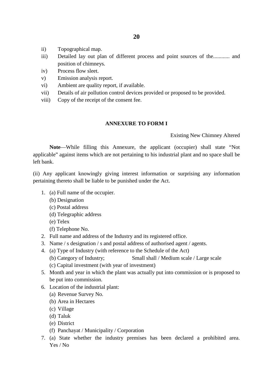- ii) Topographical map.
- iii) Detailed lay out plan of different process and point sources of the............ and position of chimneys.
- iv) Process flow sleet.
- v) Emission analysis report.
- vi) Ambient are quality report, if available.
- vii) Details of air pollution control devices provided or proposed to be provided.
- viii) Copy of the receipt of the consent fee.

#### **ANNEXURE TO FORM I**

Existing New Chimney Altered

**Note**—While filling this Annexure, the applicant (occupier) shall state "Not applicable" against items which are not pertaining to his industrial plant and no space shall be left bank.

(ii) Any applicant knowingly giving interest information or surprising any information pertaining thereto shall be liable to be punished under the Act.

- 1. (a) Full name of the occupier.
	- (b) Designation
	- (c) Postal address
	- (d) Telegraphic address
	- (e) Telex
	- (f) Telephone No.
- 2. Full name and address of the Industry and its registered office.
- 3. Name  $\frac{1}{s}$  s designation  $\frac{1}{s}$  s and postal address of authorised agent  $\frac{1}{s}$  agents.
- 4. (a) Type of Industry (with reference to the Schedule of the Act)
	- (b) Category of Industry; Small shall / Medium scale / Large scale
	- (c) Capital investment (with year of investment)
- 5. Month and year in which the plant was actually put into commission or is proposed to be put into commission.
- 6. Location of the industrial plant:
	- (a) Revenue Survey No.
	- (b) Area in Hectares
	- (c) Village
	- (d) Taluk
	- (e) District
	- (f) Panchayat / Municipality / Corporation
- 7. (a) State whether the industry premises has been declared a prohibited area. Yes / No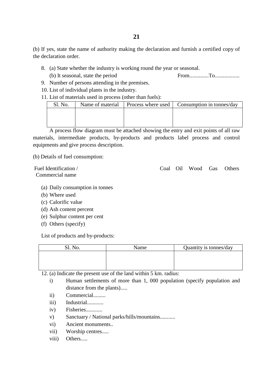# (b) If yes, state the name of authority making the declaration and furnish a certified copy of the declaration order.

- 8. (a) State whether the industry is working round the year or seasonal.
	- (b) It seasonal, state the period From..............To..................
- 9. Number of persons attending in the premises.
- 10. List of individual plants in the industry.
- 11. List of materials used in process (other than fuels):

| <b>SL</b> No. |  | Name of material   Process where used   Consumption in tonnes/day |
|---------------|--|-------------------------------------------------------------------|
|               |  |                                                                   |
|               |  |                                                                   |
|               |  |                                                                   |

A process flow diagram must be attached showing the entry and exit points of all raw materials, intermediate products, by-products and products label process and control equipments and give process description.

(b) Details of fuel consumption:

Fuel Identification / Commercial name

Coal Oil Wood Gas Others

- (a) Daily consumption in tonnes (b) Where used
- 
- (c) Calorific value
- (d) Ash content percent
- (e) Sulphur content per cent
- (f) Others (specify)

List of products and by-products:

| No. | Name | Quantity is tonnes/day |
|-----|------|------------------------|
|     |      |                        |
|     |      |                        |
|     |      |                        |

12. (a) Indicate the present use of the land within 5 km. radius:

- i) Human settlements of more than 1, 000 population (specify population and distance from the plants).....
- ii) Commercial.........
- iii) Industrial.............
- iv) Fisheries.............
- v) Sanctuary / National parks/hills/mountains...........
- vi) Ancient monuments..
- vii) Worship centres.....
- viii) Others.....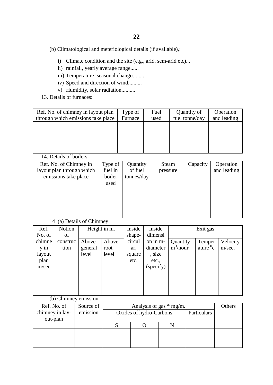- (b) Climatological and meteriological details (if available),:
	- i) Climate condition and the site (e.g., arid, sem-arid etc)...
	- ii) rainfall, yearly average range......
	- iii) Temperature, seasonal changes.......
	- iv) Speed and direction of wind..........
	- v) Humidity, solar radiation..........
- 13. Details of furnaces:

| Ref. No. of chimney in layout plan | Type of | Fuel | Quantity of    | Operation   |
|------------------------------------|---------|------|----------------|-------------|
| through which emissions take place | Furnace | used | fuel tonne/day | and leading |
|                                    |         |      |                |             |
|                                    |         |      |                |             |
|                                    |         |      |                |             |
|                                    |         |      |                |             |
|                                    |         |      |                |             |

14. Details of boilers:

| Ref. No. of Chimney in    | Type of | Quantity   | Steam    | Capacity | Operation   |
|---------------------------|---------|------------|----------|----------|-------------|
| layout plan through which | fuel in | of fuel    | pressure |          | and leading |
| emissions take place      | boiler  | tonnes/day |          |          |             |
|                           | used    |            |          |          |             |
|                           |         |            |          |          |             |
|                           |         |            |          |          |             |
|                           |         |            |          |          |             |
|                           |         |            |          |          |             |
|                           |         |            |          |          |             |

14 (a) Details of Chimney:

| Ref.   | Notion   |         | Height in m. | Inside | Inside    |             | Exit gas        |          |
|--------|----------|---------|--------------|--------|-----------|-------------|-----------------|----------|
| No. of | of       |         |              | shape- | dimensi   |             |                 |          |
| chimne | construc | Above   | Above        | circul | on in m-  | Quantity    | Temper          | Velocity |
| y in   | tion     | general | root         | ar,    | diameter  | $m^3/h$ our | ature ${}^{0}c$ | m/sec.   |
| layout |          | level   | level        | square | , size    |             |                 |          |
| plan   |          |         |              | etc.   | etc.,     |             |                 |          |
| m/sec  |          |         |              |        | (specify) |             |                 |          |
|        |          |         |              |        |           |             |                 |          |
|        |          |         |              |        |           |             |                 |          |
|        |          |         |              |        |           |             |                 |          |
|        |          |         |              |        |           |             |                 |          |

# (b) Chimney emission:

| Ref. No. of     | Source of |                         | Others |  |             |  |
|-----------------|-----------|-------------------------|--------|--|-------------|--|
| chimney in lay- | emission  | Oxides of hydro-Carbons |        |  | Particulars |  |
| out-plan        |           |                         |        |  |             |  |
|                 |           |                         |        |  |             |  |
|                 |           |                         |        |  |             |  |
|                 |           |                         |        |  |             |  |
|                 |           |                         |        |  |             |  |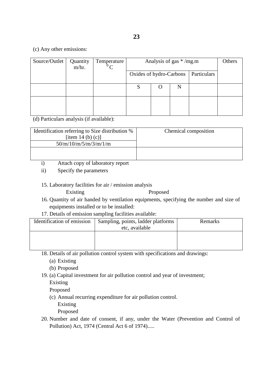(c) Any other emissions:

| Source/Outlet | Quantity<br>m/hr. | Temperature<br>${}^0C$ | Analysis of gas */mg.m  |  |   | Others      |  |
|---------------|-------------------|------------------------|-------------------------|--|---|-------------|--|
|               |                   |                        | Oxides of hydro-Carbons |  |   | Particulars |  |
|               |                   |                        |                         |  | N |             |  |
|               |                   |                        |                         |  |   |             |  |

(d) Particulars analysis (if available):

| Identification referring to Size distribution %<br>[item $14$ (b) (c)] | Chemical composition |
|------------------------------------------------------------------------|----------------------|
| 50/m/10/m/5/m/3/m/1/m                                                  |                      |
|                                                                        |                      |
|                                                                        |                      |

i) Attach copy of laboratory report

ii) Specify the parameters

15. Laboratory facilities for air / emission analysis

Existing Proposed

16. Quantity of air handed by ventilation equipments, specifying the number and size of equipments installed or to be installed:

17. Details of emission sampling facilities available:

| Identification of emission | Sampling, points, ladder platforms | Remarks |
|----------------------------|------------------------------------|---------|
|                            | etc, available                     |         |
|                            |                                    |         |
|                            |                                    |         |
|                            |                                    |         |

18. Details of air pollution control system with specifications and drawings:

- (a) Existing
- (b) Proposed
- 19. (a) Capital investment for air pollution control and year of investment;

Existing

Proposed

(c) Annual recurring expenditure for air pollution control.

Existing

Proposed

20. Number and date of consent, if any, under the Water (Prevention and Control of Pollution) Act, 1974 (Central Act 6 of 1974).....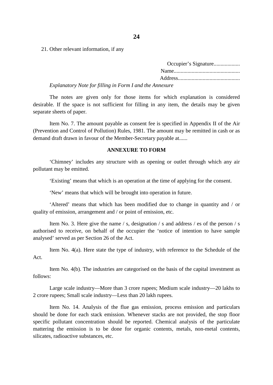21. Other relevant information, if any

*Explanatory Note for filling in Form I and the Annexure* 

 The notes are given only for those items for which explanation is considered desirable. If the space is not sufficient for filling in any item, the details may be given separate sheets of paper.

Item No. 7. The amount payable as consent fee is specified in Appendix II of the Air (Prevention and Control of Pollution) Rules, 1981. The amount may be remitted in cash or as demand draft drawn in favour of the Member-Secretary payable at......

#### **ANNEXURE TO FORM**

'Chimney' includes any structure with as opening or outlet through which any air pollutant may be emitted.

'Existing' means that which is an operation at the time of applying for the consent.

'New' means that which will be brought into operation in future.

 'Altered' means that which has been modified due to change in quantity and / or quality of emission, arrangement and / or point of emission, etc.

Item No. 3. Here give the name / s, designation / s and address / es of the person / s authorised to receive, on behalf of the occupier the 'notice of intention to have sample analysed' served as per Section 26 of the Act.

Item No. 4(a). Here state the type of industry, with reference to the Schedule of the Act.

Item No. 4(b). The industries are categorised on the basis of the capital investment as follows:

Large scale industry—More than 3 crore rupees; Medium scale industry—20 lakhs to 2 crore rupees; Small scale industry—Less than 20 lakh rupees.

Item No. 14. Analysis of the flue gas emission, process emission and particulars should be done for each stack emission. Whenever stacks are not provided, the stop floor specific pollutant concentration should be reported. Chemical analysis of the particulate mattering the emission is to be done for organic contents, metals, non-metal contents, silicates, radioactive substances, etc.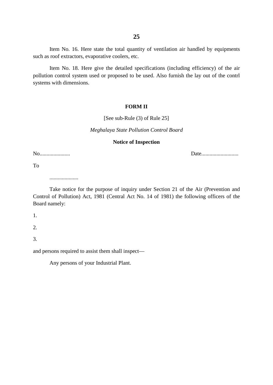Item No. 16. Here state the total quantity of ventilation air handled by equipments such as roof extractors, evaporative coolers, etc.

 Item No. 18. Here give the detailed specifications (including efficiency) of the air pollution control system used or proposed to be used. Also furnish the lay out of the contrl systems with dimensions.

#### **FORM II**

[See sub-Rule (3) of Rule 25]

*Meghalaya State Pollution Control Board* 

#### **Notice of Inspection**

No...................... Date...........................

To

.....................

Take notice for the purpose of inquiry under Section 21 of the Air (Prevention and Control of Pollution) Act, 1981 (Central Act No. 14 of 1981) the following officers of the Board namely:

1.

2.

3.

and persons required to assist them shall inspect—

Any persons of your Industrial Plant.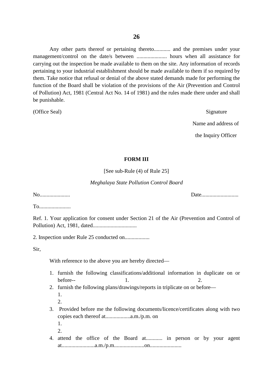Any other parts thereof or pertaining thereto............ and the premises under your management/control on the date/s between ...................... hours when all assistance for carrying out the inspection be made available to them on the site. Any information of records pertaining to your industrial establishment should be made available to them if so required by them. Take notice that refusal or denial of the above stated demands made for performing the function of the Board shall be violation of the provisions of the Air (Prevention and Control of Pollution) Act, 1981 (Central Act No. 14 of 1981) and the rules made there under and shall be punishable.

(Office Seal) Signature Name and address of the Inquiry Officer

#### **FORM III**

#### [See sub-Rule (4) of Rule 25]

#### *Meghalaya State Pollution Control Board*

No...................... Date...........................

To.......................

Ref. 1. Your application for consent under Section 21 of the Air (Prevention and Control of Pollution) Act, 1981, dated................................

2. Inspection under Rule 25 conducted on..................

Sir,

With reference to the above you are hereby directed—

- hefore--1. furnish the following classifications/additional information in duplicate on or before--  $1.$  2.
- 2. furnish the following plans/drawings/reports in triplicate on or before— 1.
	- 2.
- 3. Provided before me the following documents/licence/certificates along with two copies each thereof at..................a.m./p.m. on
	- 1.  $2^{\circ}$
- 4. attend the office of the Board at............ in person or by your agent at........................a.m./p.m......................on.......................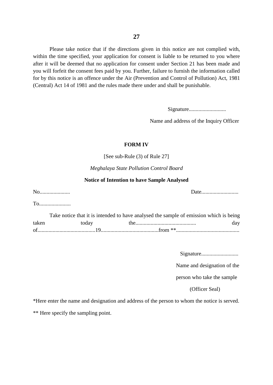for by this notice is an offence under the Air (Prevention and Control of Pollution) Act, 1981 Please take notice that if the directions given in this notice are not complied with, within the time specified, your application for consent is liable to be returned to you where after it will be deemed that no application for consent under Section 21 has been made and you will forfeit the consent fees paid by you. Further, failure to furnish the information called (Central) Act 14 of 1981 and the rules made there under and shall be punishable.

Signature...........................

Name and address of the Inquiry Officer

## **FORM IV**

[See sub-Rule (3) of Rule 27]

*Meghalaya State Pollution Control Board* 

#### **Notice of Intention to have Sample Analysed**

No...................... Date...........................

To.......................

|       |       | Take notice that it is intended to have analysed the sample of emission which is being |     |
|-------|-------|----------------------------------------------------------------------------------------|-----|
| taken | today |                                                                                        | dav |
| of    |       |                                                                                        |     |

Signature...........................

Name and designation of the

person who take the sample

(Officer Seal)

\*Here enter the name and designation and address of the person to whom the notice is served.

\*\* Here specify the sampling point.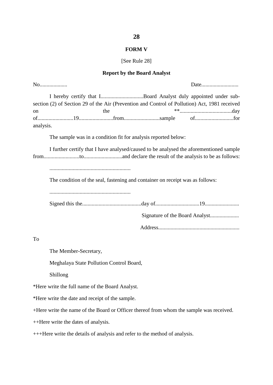#### **FORM V**

#### [See Rule 28]

#### **Report by the Board Analyst**

 I hereby certify that I...............................Board Analyst duly appointed under sub- I further certify that I have analysed/caused to be analysed the aforementioned sample No.................... Date........................... section (2) of Section 29 of the Air (Prevention and Control of Pollution) Act, 1981 received on the \*\*......................................day of..........................19.........................from..........................sample of............................for analysis. The sample was in a condition fit for analysis reported below: from..........................to............................and declare the result of the analysis to be as follows: ........................................................... The condition of the seal, fastening and container on receipt was as follows: ........................................................... Signed this the...........................................day of................................19......................... Signature of the Board Analyst..................... Address........................................................... To The Member-Secretary, Meghalaya State Pollution Control Board, Shillong \*Here write the full name of the Board Analyst. \*Here write the date and receipt of the sample. +Here write the name of the Board or Officer thereof from whom the sample was received. ++Here write the dates of analysis. +++Here write the details of analysis and refer to the method of analysis.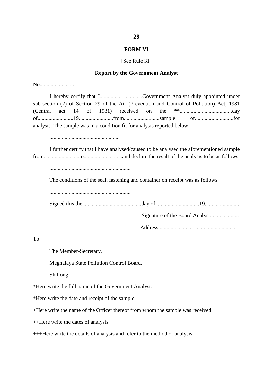#### **FORM VI**

#### [See Rule 31]

#### **Report by the Government Analyst**

No.........................

I hereby certify that I...............................Government Analyst duly appointed under sub-section (2) of Section 29 of the Air (Prevention and Control of Pollution) Act, 1981 (Central act 14 of 1981) received on the \*\*......................................day of..........................19.........................from..........................sample of............................for analysis. The sample was in a condition fit for analysis reported below:

...................................................

 I further certify that I have analysed/caused to be analysed the aforementioned sample from..........................to............................and declare the result of the analysis to be as follows:

...........................................................

The conditions of the seal, fastening and container on receipt was as follows:

...........................................................

Signed this the...........................................day of................................19.........................

Signature of the Board Analyst.....................

Address...........................................................

To

The Member-Secretary,

Meghalaya State Pollution Control Board,

Shillong

\*Here write the full name of the Government Analyst.

\*Here write the date and receipt of the sample.

+Here write the name of the Officer thereof from whom the sample was received.

++Here write the dates of analysis.

+++Here write the details of analysis and refer to the method of analysis.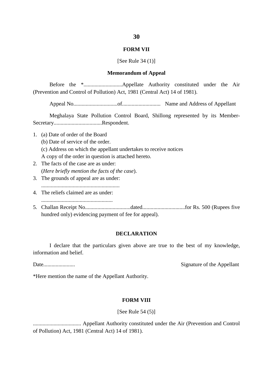#### **FORM VII**

#### [See Rule 34 (1)]

#### **Memorandum of Appeal**

Before the \*............................Appellate Authority constituted under the Air (Prevention and Control of Pollution) Act, 1981 (Central Act) 14 of 1981).

Appeal No................................of............................ Name and Address of Appellant

Meghalaya State Pollution Control Board, Shillong represented by its Member-Secretary...................................Respondent.

1. (a) Date of order of the Board

- (b) Date of service of the order.
- (c) Address on which the appellant undertakes to receive notices

A copy of the order in question is attached hereto.

- 2. The facts of the case are as under: (*Here briefly mention the facts of the case*).
- 3. The grounds of appeal are as under: .........................................................
- 4. The reliefs claimed are as under: ....................................................
- hundred only) evidencing payment of fee for appeal). 5. Challan Receipt No.................................dated...............................for Rs. 500 (Rupees five

#### **DECLARATION**

 I declare that the particulars given above are true to the best of my knowledge, information and belief.

Date.........................

Signature of the Appellant

\*Here mention the name of the Appellant Authority.

#### **FORM VIII**

[See Rule  $54(5)$ ]

................................... Appellant Authority constituted under the Air (Prevention and Control of Pollution) Act, 1981 (Central Act) 14 of 1981).

#### **30**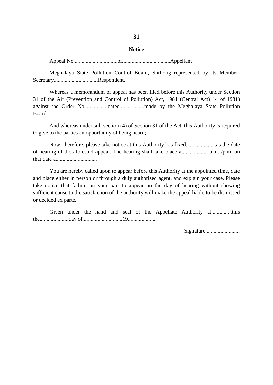#### **Notice**

Appeal No................................of...................................Appellant

Meghalaya State Pollution Control Board, Shillong represented by its Member-Secretary................................Respondent.

Whereas a memorandum of appeal has been filed before this Authority under Section 31 of the Air (Prevention and Control of Pollution) Act, 1981 (Central Act) 14 of 1981) against the Order No.................dated..................made by the Meghalaya State Pollution Board;

And whereas under sub-section (4) of Section 31 of the Act, this Authority is required to give to the parties an opportunity of being heard;

Now, therefore, please take notice at this Authority has fixed......................as the date of hearing of the aforesaid appeal. The hearing shall take place at.................. a.m. /p.m. on that date at.............................

You are hereby called upon to appear before this Authority at the appointed time, date and place either in person or through a duly authorised agent, and explain your case. Please take notice that failure on your part to appear on the day of hearing without showing sufficient cause to the satisfaction of the authority will make the appeal liable to be dismissed or decided ex parte.

Given under the hand and seal of the Appellate Authority at...............this the.....................day of.............................19.....................

Signature.........................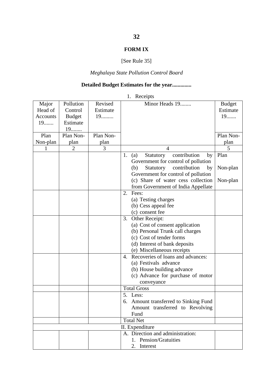# **FORM IX**

# [See Rule 35]

# *Meghalaya State Pollution Control Board*

# **Detailed Budget Estimates for the year..............**

|                 |                |           | receipis                                     |               |
|-----------------|----------------|-----------|----------------------------------------------|---------------|
| Major           | Pollution      | Revised   | Minor Heads 19                               | <b>Budget</b> |
| Head of         | Control        | Estimate  |                                              | Estimate      |
| <b>Accounts</b> | <b>Budget</b>  | $19$      |                                              | $19$          |
| 19              | Estimate       |           |                                              |               |
|                 | 19             |           |                                              |               |
| Plan            | Plan Non-      | Plan Non- |                                              | Plan Non-     |
| Non-plan        | plan           | plan      |                                              | plan          |
| 1               | $\overline{2}$ | 3         | 4                                            |               |
|                 |                |           | contribution<br>1.<br>(a)<br>Statutory<br>by | Plan          |
|                 |                |           | Government for control of pollution          |               |
|                 |                |           | Statutory<br>contribution<br>(b)<br>by       | Non-plan      |
|                 |                |           | Government for control of pollution          |               |
|                 |                |           | (c) Share of water cess collection           | Non-plan      |
|                 |                |           | from Government of India Appellate           |               |
|                 |                |           | 2.<br>Fees:                                  |               |
|                 |                |           | (a) Testing charges                          |               |
|                 |                |           | (b) Cess appeal fee                          |               |
|                 |                |           | (c) consent fee                              |               |
|                 |                |           | Other Receipt:<br>3.                         |               |
|                 |                |           | (a) Cost of consent application              |               |
|                 |                |           | (b) Personal Trunk call charges              |               |
|                 |                |           | (c) Cost of tender forms                     |               |
|                 |                |           | (d) Interest of bank deposits                |               |
|                 |                |           | (e) Miscellaneous receipts                   |               |
|                 |                |           | 4. Recoveries of loans and advances:         |               |
|                 |                |           | (a) Festivals advance                        |               |
|                 |                |           | (b) House building advance                   |               |
|                 |                |           | (c) Advance for purchase of motor            |               |
|                 |                |           | conveyance                                   |               |
|                 |                |           | <b>Total Gross</b>                           |               |
|                 |                |           | 5. Less:                                     |               |
|                 |                |           | 6. Amount transferred to Sinking Fund        |               |
|                 |                |           | Amount transferred to Revolving              |               |
|                 |                |           | Fund                                         |               |
|                 |                |           | <b>Total Net</b>                             |               |
|                 |                |           | II. Expenditure                              |               |
|                 |                |           | A. Direction and administration:             |               |

1. Pension/Gratuities

2. Interest

1. Receipts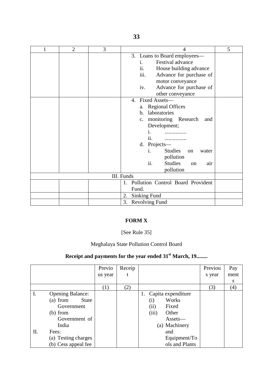| $\overline{2}$ | 3 | 4                                                          | 5 |
|----------------|---|------------------------------------------------------------|---|
|                |   | 3. Loans to Board employees-                               |   |
|                |   | Festival advance<br>i.                                     |   |
|                |   | ii.<br>House building advance                              |   |
|                |   | iii.<br>Advance for purchase of                            |   |
|                |   | motor conveyance                                           |   |
|                |   | Advance for purchase of<br>iv.                             |   |
|                |   | other conveyance                                           |   |
|                |   | Fixed Assets-<br>$\mathbf{4}$ .                            |   |
|                |   | a. Regional Offices                                        |   |
|                |   | laboratories<br>$\mathbf{b}$ .                             |   |
|                |   | c. monitoring Research<br>and                              |   |
|                |   | Development;                                               |   |
|                |   | $\mathbf{i}$ .                                             |   |
|                |   | 11.                                                        |   |
|                |   | d. Projects-                                               |   |
|                |   | <b>Studies</b><br>$\mathbf{i}$ .<br>water<br><sub>on</sub> |   |
|                |   | pollution                                                  |   |
|                |   | ii.<br><b>Studies</b><br>air<br><sub>on</sub>              |   |
|                |   | pollution                                                  |   |
|                |   | III. Funds                                                 |   |
|                |   | 1. Pollution Control Board Provident                       |   |
|                |   | Fund.                                                      |   |
|                |   | 2.<br><b>Sinking Fund</b>                                  |   |
|                |   | 3.<br><b>Revolving Fund</b>                                |   |

# **FORM X**

[See Rule 35]

#### Meghalaya State Pollution Control Board

# **Receipt and payments for the year ended 31st March, 19........**

|    |                          | Previo           | Receip |       |                       | Previou | Pay  |
|----|--------------------------|------------------|--------|-------|-----------------------|---------|------|
|    |                          | us year          |        |       |                       | s year  | ment |
|    |                          |                  |        |       |                       |         | S    |
|    |                          | $\left(1\right)$ | (2)    |       |                       | (3)     | (4)  |
| I. | <b>Opening Balance:</b>  |                  |        |       | 1. Capita expenditure |         |      |
|    | (a) from<br><b>State</b> |                  |        | (i)   | Works                 |         |      |
|    | Government               |                  |        | (ii)  | Fixed                 |         |      |
|    | (b) from                 |                  |        | (iii) | Other                 |         |      |
|    | Government of            |                  |        |       | Assets-               |         |      |
|    | India                    |                  |        |       | (a) Machinery         |         |      |
| П. | Fees:                    |                  |        |       | and                   |         |      |
|    | (a) Testing charges      |                  |        |       | Equipment/To          |         |      |
|    | (b) Cess appeal fee      |                  |        |       | ols and Plants        |         |      |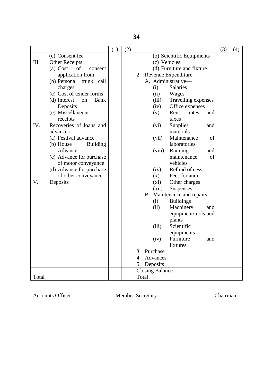|       |                              | (1) | (2) |                  |                        |                             | (3) | (4) |
|-------|------------------------------|-----|-----|------------------|------------------------|-----------------------------|-----|-----|
|       | (c) Consent fee              |     |     |                  |                        | (b) Scientific Equipments   |     |     |
| III.  | Other Receipts:              |     |     |                  |                        | (c) Vehicles                |     |     |
|       | (a) Cost<br>of<br>consent    |     |     |                  |                        | (d) Furniture and fixture   |     |     |
|       | application from             |     |     | 2.               |                        | Revenue Expenditure:        |     |     |
|       | (b) Personal trunk call      |     |     |                  |                        | A. Administrative-          |     |     |
|       | charges                      |     |     |                  | (i)                    | <b>Salaries</b>             |     |     |
|       | (c) Cost of tender forms     |     |     |                  | (ii)                   | Wages                       |     |     |
|       | (d) Interest<br>Bank<br>on   |     |     |                  | (iii)                  | Travelling expenses         |     |     |
|       | Deposits                     |     |     |                  | (iv)                   | Office expenses             |     |     |
|       | (e) Miscellaneous            |     |     |                  | (v)                    | Rent,<br>rates<br>and       |     |     |
|       | receipts                     |     |     |                  |                        | taxes                       |     |     |
| IV.   | Recoveries of loans and      |     |     |                  | (vi)                   | <b>Supplies</b><br>and      |     |     |
|       | advances                     |     |     |                  |                        | materials                   |     |     |
|       | (a) Festival advance         |     |     |                  | (vii)                  | Maintenance<br>of           |     |     |
|       | (b) House<br><b>Building</b> |     |     |                  |                        | laboratories                |     |     |
|       | Advance                      |     |     |                  | (viii)                 | Running<br>and              |     |     |
|       | (c) Advance for purchase     |     |     |                  |                        | maintenance<br>οf           |     |     |
|       | of motor conveyance          |     |     |                  |                        | vehicles                    |     |     |
|       | (d) Advance for purchase     |     |     |                  | (ix)                   | Refund of cess              |     |     |
|       | of other conveyance          |     |     |                  | (x)                    | Fees for audit              |     |     |
| V.    | Deposits                     |     |     |                  | (xi)                   | Other charges               |     |     |
|       |                              |     |     |                  | (xii)                  | Suspenses                   |     |     |
|       |                              |     |     |                  |                        | B. Maintenance and repairs: |     |     |
|       |                              |     |     |                  | (i)                    | <b>Buildings</b>            |     |     |
|       |                              |     |     |                  | (ii)                   | Machinery<br>and            |     |     |
|       |                              |     |     |                  |                        | equipment/tools and         |     |     |
|       |                              |     |     |                  |                        | plants                      |     |     |
|       |                              |     |     |                  | (iii)                  | Scientific                  |     |     |
|       |                              |     |     |                  |                        | equipments                  |     |     |
|       |                              |     |     |                  | (iv)                   | Furniture<br>and            |     |     |
|       |                              |     |     |                  |                        | fixtures                    |     |     |
|       |                              |     |     | 3.               | Purchase               |                             |     |     |
|       |                              |     |     | $\overline{4}$ . | Advances               |                             |     |     |
|       |                              |     |     | 5.               | Deposits               |                             |     |     |
|       |                              |     |     |                  | <b>Closing Balance</b> |                             |     |     |
| Total |                              |     |     | Total            |                        |                             |     |     |

Accounts Officer

Member-Secretary Chairman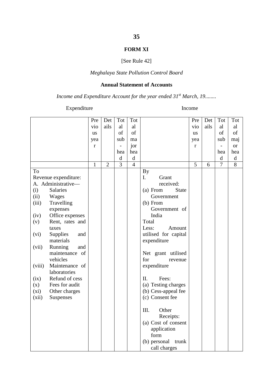#### **FORM XI**

# [See Rule 42]

# *Meghalaya State Pollution Control Board*

# **Annual Statement of Accounts**

Income and Expenditure Account for the year ended 31<sup>st</sup> March, 19........

# Expenditure Income

|                           | Pre          | Det            | Tot            | Tot            |                          | Pre       | Det  | <b>Tot</b>     | Tot       |
|---------------------------|--------------|----------------|----------------|----------------|--------------------------|-----------|------|----------------|-----------|
|                           | vio          | ails           | al             | al             |                          | vio       | ails | al             | al        |
|                           | <b>us</b>    |                | of             | of             |                          | <b>us</b> |      | of             | of        |
|                           | yea          |                | sub            | ma             |                          | yea       |      | sub            | maj       |
|                           | $\bf r$      |                | $\overline{a}$ | jor            |                          | r         |      |                | <b>or</b> |
|                           |              |                | hea            | hea            |                          |           |      | hea            | hea       |
|                           |              |                | d              | d              |                          |           |      | d              | d         |
|                           | $\mathbf{1}$ | $\overline{2}$ | 3              | $\overline{4}$ |                          | 5         | 6    | $\overline{7}$ | 8         |
| To                        |              |                |                |                | <b>By</b>                |           |      |                |           |
| Revenue expenditure:      |              |                |                |                | Grant<br>I.              |           |      |                |           |
| A. Administrative-        |              |                |                |                | received:                |           |      |                |           |
| <b>Salaries</b><br>(i)    |              |                |                |                | (a) From<br><b>State</b> |           |      |                |           |
| (ii)<br>Wages             |              |                |                |                | Government               |           |      |                |           |
| Travelling<br>(iii)       |              |                |                |                | $(b)$ From               |           |      |                |           |
| expenses                  |              |                |                |                | Government of            |           |      |                |           |
| Office expenses<br>(iv)   |              |                |                |                | India                    |           |      |                |           |
| Rent, rates and<br>(v)    |              |                |                |                | Total                    |           |      |                |           |
| taxes                     |              |                |                |                | Less:<br>Amount          |           |      |                |           |
| (vi)<br>Supplies<br>and   |              |                |                |                | utilised for capital     |           |      |                |           |
| materials                 |              |                |                |                | expenditure              |           |      |                |           |
| (vii)<br>Running<br>and   |              |                |                |                |                          |           |      |                |           |
| maintenance of            |              |                |                |                | Net grant utilised       |           |      |                |           |
| vehicles                  |              |                |                |                | for<br>revenue           |           |      |                |           |
| (viii)<br>Maintenance of  |              |                |                |                | expenditure              |           |      |                |           |
| laboratories              |              |                |                |                |                          |           |      |                |           |
| Refund of cess<br>(ix)    |              |                |                |                | II.<br>Fees:             |           |      |                |           |
| Fees for audit<br>(x)     |              |                |                |                | (a) Testing charges      |           |      |                |           |
| $(x_i)$<br>Other charges  |              |                |                |                | (b) Cess-appeal fee      |           |      |                |           |
| (xii)<br><b>Suspenses</b> |              |                |                |                | (c) Consent fee          |           |      |                |           |
|                           |              |                |                |                |                          |           |      |                |           |
|                           |              |                |                |                | III.<br>Other            |           |      |                |           |
|                           |              |                |                |                | Receipts:                |           |      |                |           |
|                           |              |                |                |                | (a) Cost of consent      |           |      |                |           |
|                           |              |                |                |                | application              |           |      |                |           |
|                           |              |                |                |                | form                     |           |      |                |           |
|                           |              |                |                |                | (b) personal<br>trunk    |           |      |                |           |
|                           |              |                |                |                | call charges             |           |      |                |           |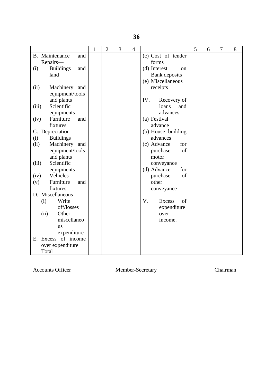|       |                              | $\mathbf{1}$ | $\overline{2}$ | 3 | $\overline{4}$ |                               | 5 | 6 | 7 | 8 |
|-------|------------------------------|--------------|----------------|---|----------------|-------------------------------|---|---|---|---|
|       | <b>B.</b> Maintenance<br>and |              |                |   |                | (c) Cost of tender            |   |   |   |   |
|       | Repairs-                     |              |                |   |                | forms                         |   |   |   |   |
| (i)   | <b>Buildings</b><br>and      |              |                |   |                | (d) Interest<br><sub>on</sub> |   |   |   |   |
|       | land                         |              |                |   |                | Bank deposits                 |   |   |   |   |
|       |                              |              |                |   |                | (e) Miscellaneous             |   |   |   |   |
| (ii)  | Machinery and                |              |                |   |                | receipts                      |   |   |   |   |
|       | equipment/tools              |              |                |   |                |                               |   |   |   |   |
|       | and plants                   |              |                |   |                | IV.<br>Recovery of            |   |   |   |   |
| (iii) | Scientific                   |              |                |   |                | loans<br>and                  |   |   |   |   |
|       | equipments                   |              |                |   |                | advances;                     |   |   |   |   |
| (iv)  | Furniture<br>and             |              |                |   |                | (a) Festival                  |   |   |   |   |
|       | fixtures                     |              |                |   |                | advance                       |   |   |   |   |
|       | C. Depreciation-             |              |                |   |                | (b) House building            |   |   |   |   |
| (i)   | <b>Buildings</b>             |              |                |   |                | advances                      |   |   |   |   |
| (ii)  | Machinery and                |              |                |   |                | (c) Advance<br>for            |   |   |   |   |
|       | equipment/tools              |              |                |   |                | of<br>purchase                |   |   |   |   |
|       | and plants                   |              |                |   |                | motor                         |   |   |   |   |
| (iii) | Scientific                   |              |                |   |                | conveyance                    |   |   |   |   |
|       | equipments                   |              |                |   |                | (d) Advance<br>for            |   |   |   |   |
| (iv)  | Vehicles                     |              |                |   |                | purchase<br>of                |   |   |   |   |
| (v)   | Furniture<br>and             |              |                |   |                | other                         |   |   |   |   |
|       | fixtures                     |              |                |   |                | conveyance                    |   |   |   |   |
|       | D. Miscellaneous-            |              |                |   |                |                               |   |   |   |   |
| (i)   | Write                        |              |                |   |                | of<br>V.<br>Excess            |   |   |   |   |
|       | off/losses                   |              |                |   |                | expenditure                   |   |   |   |   |
| (ii)  | Other                        |              |                |   |                | over                          |   |   |   |   |
|       | miscellaneo                  |              |                |   |                | income.                       |   |   |   |   |
|       | <b>us</b>                    |              |                |   |                |                               |   |   |   |   |
|       | expenditure                  |              |                |   |                |                               |   |   |   |   |
|       | E. Excess of income          |              |                |   |                |                               |   |   |   |   |
|       | over expenditure             |              |                |   |                |                               |   |   |   |   |
|       | Total                        |              |                |   |                |                               |   |   |   |   |

**Accounts Officer** 

Member-Secretary Chairman

**36**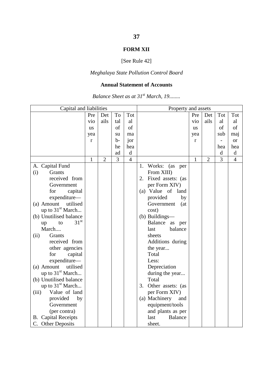#### **FORM XII**

# [See Rule 42]

# *Meghalaya State Pollution Control Board*

# **Annual Statement of Accounts**

 *Balance Sheet as at 31st March, 19........*

| Capital and liabilities       |              |                |      |                | Property and assets     |              |                |     |                |
|-------------------------------|--------------|----------------|------|----------------|-------------------------|--------------|----------------|-----|----------------|
|                               | Pre          | Det            | To   | Tot            |                         | Pre          | Det            | Tot | Tot            |
|                               | vio          | ails           | tal  | al             |                         | vio          | ails           | al  | al             |
|                               | us           |                | of   | of             |                         | <b>us</b>    |                | of  | of             |
|                               | yea          |                | su   | ma             |                         | yea          |                | sub | maj            |
|                               | $\mathbf{r}$ |                | $b-$ | jor            |                         | $\mathbf{r}$ |                |     | <b>or</b>      |
|                               |              |                | he   | hea            |                         |              |                | hea | hea            |
|                               |              |                | ad   | d              |                         |              |                | d   | d              |
|                               | $\mathbf{1}$ | $\overline{2}$ | 3    | $\overline{4}$ |                         | $\mathbf{1}$ | $\overline{2}$ | 3   | $\overline{4}$ |
| A. Capital Fund               |              |                |      |                | Works:<br>1.<br>(as per |              |                |     |                |
| <b>Grants</b><br>(i)          |              |                |      |                | From XIII)              |              |                |     |                |
| received from                 |              |                |      |                | 2. Fixed assets: (as    |              |                |     |                |
| Government                    |              |                |      |                | per Form XIV)           |              |                |     |                |
| for<br>capital                |              |                |      |                | (a) Value of land       |              |                |     |                |
| expenditure-                  |              |                |      |                | provided<br>by          |              |                |     |                |
| utilised<br>(a) Amount        |              |                |      |                | Government<br>(at       |              |                |     |                |
| up to $31st$ March            |              |                |      |                | cost)                   |              |                |     |                |
| (b) Unutilised balance        |              |                |      |                | (b) Buildings-          |              |                |     |                |
| 31 <sup>st</sup><br>to<br>up  |              |                |      |                | Balance as per          |              |                |     |                |
| March                         |              |                |      |                | balance<br>last         |              |                |     |                |
| Grants<br>(ii)                |              |                |      |                | sheets                  |              |                |     |                |
| received from                 |              |                |      |                | Additions during        |              |                |     |                |
| other agencies                |              |                |      |                | the year                |              |                |     |                |
| for<br>capital                |              |                |      |                | Total                   |              |                |     |                |
| expenditure-                  |              |                |      |                | Less:                   |              |                |     |                |
| utilised<br>(a) Amount        |              |                |      |                | Depreciation            |              |                |     |                |
| up to 31 <sup>st</sup> March  |              |                |      |                | during the year         |              |                |     |                |
| (b) Unutilised balance        |              |                |      |                | Total                   |              |                |     |                |
| up to 31 <sup>st</sup> March  |              |                |      |                | 3. Other assets: (as    |              |                |     |                |
| Value of land<br>(iii)        |              |                |      |                | per Form XIV)           |              |                |     |                |
| provided<br>by                |              |                |      |                | (a) Machinery<br>and    |              |                |     |                |
| Government                    |              |                |      |                | equipment/tools         |              |                |     |                |
| (per contra)                  |              |                |      |                | and plants as per       |              |                |     |                |
| <b>Capital Receipts</b><br>В. |              |                |      |                | <b>Balance</b><br>last  |              |                |     |                |
| C. Other Deposits             |              |                |      |                | sheet.                  |              |                |     |                |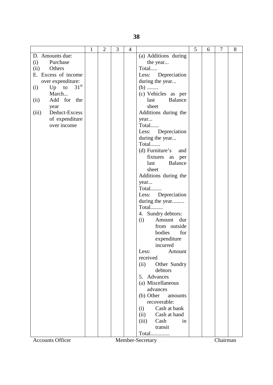| (a) Additions during<br>D. Amounts due:<br>Purchase<br>(i)<br>the year<br>Others<br>Total<br>(ii)<br>E. Excess of income<br>Less: Depreciation<br>during the year<br>over expenditure:<br>31 <sup>st</sup><br>$Up$ to<br>$(b)$<br>(i)<br>March<br>(c) Vehicles as per<br>Add for the<br>Balance<br>(ii)<br>last<br>sheet<br>year<br>Deduct-Excess<br>(iii)<br>Additions during the<br>of expenditure<br>year<br>Total<br>over income<br>Less: Depreciation<br>during the year<br>Total<br>(d) Furniture's<br>and<br>fixtures as<br>per<br>Balance<br>last<br>sheet<br>Additions during the<br>year<br>Total<br>Less: Depreciation<br>during the year<br>Total<br>4. Sundry debtors:<br>(i)<br>Amount<br>dur<br>from outside<br>bodies<br>for<br>expenditure<br>incurred<br>Less:<br>Amount<br>received<br>(ii)<br>Other Sundry<br>debtors<br>5. Advances<br>(a) Miscellaneous<br>advances<br>(b) Other<br>amounts<br>recoverable:<br>Cash at bank<br>(i)<br>Cash at hand<br>(ii)<br>Cash<br>(iii)<br>in | 1 | $\overline{2}$ | 3 | 4 |         | 5 | 6 | 7 | 8 |
|---------------------------------------------------------------------------------------------------------------------------------------------------------------------------------------------------------------------------------------------------------------------------------------------------------------------------------------------------------------------------------------------------------------------------------------------------------------------------------------------------------------------------------------------------------------------------------------------------------------------------------------------------------------------------------------------------------------------------------------------------------------------------------------------------------------------------------------------------------------------------------------------------------------------------------------------------------------------------------------------------------|---|----------------|---|---|---------|---|---|---|---|
|                                                                                                                                                                                                                                                                                                                                                                                                                                                                                                                                                                                                                                                                                                                                                                                                                                                                                                                                                                                                         |   |                |   |   |         |   |   |   |   |
|                                                                                                                                                                                                                                                                                                                                                                                                                                                                                                                                                                                                                                                                                                                                                                                                                                                                                                                                                                                                         |   |                |   |   |         |   |   |   |   |
|                                                                                                                                                                                                                                                                                                                                                                                                                                                                                                                                                                                                                                                                                                                                                                                                                                                                                                                                                                                                         |   |                |   |   |         |   |   |   |   |
|                                                                                                                                                                                                                                                                                                                                                                                                                                                                                                                                                                                                                                                                                                                                                                                                                                                                                                                                                                                                         |   |                |   |   |         |   |   |   |   |
|                                                                                                                                                                                                                                                                                                                                                                                                                                                                                                                                                                                                                                                                                                                                                                                                                                                                                                                                                                                                         |   |                |   |   |         |   |   |   |   |
|                                                                                                                                                                                                                                                                                                                                                                                                                                                                                                                                                                                                                                                                                                                                                                                                                                                                                                                                                                                                         |   |                |   |   |         |   |   |   |   |
|                                                                                                                                                                                                                                                                                                                                                                                                                                                                                                                                                                                                                                                                                                                                                                                                                                                                                                                                                                                                         |   |                |   |   |         |   |   |   |   |
|                                                                                                                                                                                                                                                                                                                                                                                                                                                                                                                                                                                                                                                                                                                                                                                                                                                                                                                                                                                                         |   |                |   |   |         |   |   |   |   |
|                                                                                                                                                                                                                                                                                                                                                                                                                                                                                                                                                                                                                                                                                                                                                                                                                                                                                                                                                                                                         |   |                |   |   |         |   |   |   |   |
|                                                                                                                                                                                                                                                                                                                                                                                                                                                                                                                                                                                                                                                                                                                                                                                                                                                                                                                                                                                                         |   |                |   |   |         |   |   |   |   |
|                                                                                                                                                                                                                                                                                                                                                                                                                                                                                                                                                                                                                                                                                                                                                                                                                                                                                                                                                                                                         |   |                |   |   |         |   |   |   |   |
|                                                                                                                                                                                                                                                                                                                                                                                                                                                                                                                                                                                                                                                                                                                                                                                                                                                                                                                                                                                                         |   |                |   |   |         |   |   |   |   |
|                                                                                                                                                                                                                                                                                                                                                                                                                                                                                                                                                                                                                                                                                                                                                                                                                                                                                                                                                                                                         |   |                |   |   |         |   |   |   |   |
|                                                                                                                                                                                                                                                                                                                                                                                                                                                                                                                                                                                                                                                                                                                                                                                                                                                                                                                                                                                                         |   |                |   |   |         |   |   |   |   |
|                                                                                                                                                                                                                                                                                                                                                                                                                                                                                                                                                                                                                                                                                                                                                                                                                                                                                                                                                                                                         |   |                |   |   |         |   |   |   |   |
|                                                                                                                                                                                                                                                                                                                                                                                                                                                                                                                                                                                                                                                                                                                                                                                                                                                                                                                                                                                                         |   |                |   |   |         |   |   |   |   |
|                                                                                                                                                                                                                                                                                                                                                                                                                                                                                                                                                                                                                                                                                                                                                                                                                                                                                                                                                                                                         |   |                |   |   |         |   |   |   |   |
|                                                                                                                                                                                                                                                                                                                                                                                                                                                                                                                                                                                                                                                                                                                                                                                                                                                                                                                                                                                                         |   |                |   |   |         |   |   |   |   |
|                                                                                                                                                                                                                                                                                                                                                                                                                                                                                                                                                                                                                                                                                                                                                                                                                                                                                                                                                                                                         |   |                |   |   |         |   |   |   |   |
|                                                                                                                                                                                                                                                                                                                                                                                                                                                                                                                                                                                                                                                                                                                                                                                                                                                                                                                                                                                                         |   |                |   |   |         |   |   |   |   |
|                                                                                                                                                                                                                                                                                                                                                                                                                                                                                                                                                                                                                                                                                                                                                                                                                                                                                                                                                                                                         |   |                |   |   |         |   |   |   |   |
|                                                                                                                                                                                                                                                                                                                                                                                                                                                                                                                                                                                                                                                                                                                                                                                                                                                                                                                                                                                                         |   |                |   |   |         |   |   |   |   |
|                                                                                                                                                                                                                                                                                                                                                                                                                                                                                                                                                                                                                                                                                                                                                                                                                                                                                                                                                                                                         |   |                |   |   |         |   |   |   |   |
|                                                                                                                                                                                                                                                                                                                                                                                                                                                                                                                                                                                                                                                                                                                                                                                                                                                                                                                                                                                                         |   |                |   |   |         |   |   |   |   |
|                                                                                                                                                                                                                                                                                                                                                                                                                                                                                                                                                                                                                                                                                                                                                                                                                                                                                                                                                                                                         |   |                |   |   |         |   |   |   |   |
|                                                                                                                                                                                                                                                                                                                                                                                                                                                                                                                                                                                                                                                                                                                                                                                                                                                                                                                                                                                                         |   |                |   |   |         |   |   |   |   |
|                                                                                                                                                                                                                                                                                                                                                                                                                                                                                                                                                                                                                                                                                                                                                                                                                                                                                                                                                                                                         |   |                |   |   |         |   |   |   |   |
|                                                                                                                                                                                                                                                                                                                                                                                                                                                                                                                                                                                                                                                                                                                                                                                                                                                                                                                                                                                                         |   |                |   |   |         |   |   |   |   |
|                                                                                                                                                                                                                                                                                                                                                                                                                                                                                                                                                                                                                                                                                                                                                                                                                                                                                                                                                                                                         |   |                |   |   |         |   |   |   |   |
|                                                                                                                                                                                                                                                                                                                                                                                                                                                                                                                                                                                                                                                                                                                                                                                                                                                                                                                                                                                                         |   |                |   |   |         |   |   |   |   |
|                                                                                                                                                                                                                                                                                                                                                                                                                                                                                                                                                                                                                                                                                                                                                                                                                                                                                                                                                                                                         |   |                |   |   |         |   |   |   |   |
|                                                                                                                                                                                                                                                                                                                                                                                                                                                                                                                                                                                                                                                                                                                                                                                                                                                                                                                                                                                                         |   |                |   |   |         |   |   |   |   |
|                                                                                                                                                                                                                                                                                                                                                                                                                                                                                                                                                                                                                                                                                                                                                                                                                                                                                                                                                                                                         |   |                |   |   |         |   |   |   |   |
|                                                                                                                                                                                                                                                                                                                                                                                                                                                                                                                                                                                                                                                                                                                                                                                                                                                                                                                                                                                                         |   |                |   |   |         |   |   |   |   |
|                                                                                                                                                                                                                                                                                                                                                                                                                                                                                                                                                                                                                                                                                                                                                                                                                                                                                                                                                                                                         |   |                |   |   |         |   |   |   |   |
|                                                                                                                                                                                                                                                                                                                                                                                                                                                                                                                                                                                                                                                                                                                                                                                                                                                                                                                                                                                                         |   |                |   |   |         |   |   |   |   |
|                                                                                                                                                                                                                                                                                                                                                                                                                                                                                                                                                                                                                                                                                                                                                                                                                                                                                                                                                                                                         |   |                |   |   |         |   |   |   |   |
|                                                                                                                                                                                                                                                                                                                                                                                                                                                                                                                                                                                                                                                                                                                                                                                                                                                                                                                                                                                                         |   |                |   |   |         |   |   |   |   |
|                                                                                                                                                                                                                                                                                                                                                                                                                                                                                                                                                                                                                                                                                                                                                                                                                                                                                                                                                                                                         |   |                |   |   |         |   |   |   |   |
|                                                                                                                                                                                                                                                                                                                                                                                                                                                                                                                                                                                                                                                                                                                                                                                                                                                                                                                                                                                                         |   |                |   |   |         |   |   |   |   |
|                                                                                                                                                                                                                                                                                                                                                                                                                                                                                                                                                                                                                                                                                                                                                                                                                                                                                                                                                                                                         |   |                |   |   |         |   |   |   |   |
|                                                                                                                                                                                                                                                                                                                                                                                                                                                                                                                                                                                                                                                                                                                                                                                                                                                                                                                                                                                                         |   |                |   |   |         |   |   |   |   |
|                                                                                                                                                                                                                                                                                                                                                                                                                                                                                                                                                                                                                                                                                                                                                                                                                                                                                                                                                                                                         |   |                |   |   |         |   |   |   |   |
|                                                                                                                                                                                                                                                                                                                                                                                                                                                                                                                                                                                                                                                                                                                                                                                                                                                                                                                                                                                                         |   |                |   |   | transit |   |   |   |   |
| Total                                                                                                                                                                                                                                                                                                                                                                                                                                                                                                                                                                                                                                                                                                                                                                                                                                                                                                                                                                                                   |   |                |   |   |         |   |   |   |   |
| Member-Secretary<br><b>Accounts Officer</b><br>Chairman                                                                                                                                                                                                                                                                                                                                                                                                                                                                                                                                                                                                                                                                                                                                                                                                                                                                                                                                                 |   |                |   |   |         |   |   |   |   |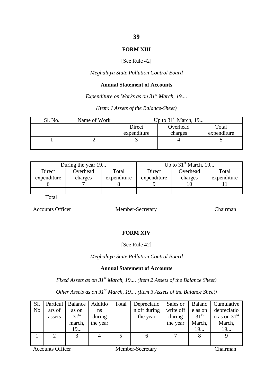#### **FORM XIII**

[See Rule 42]

## *Meghalaya State Pollution Control Board*

## **Annual Statement of Accounts**

*Expenditure on Works as on 31st March, 19....* 

*(Item: I Assets of the Balance-Sheet)* 

| Sl. No. | Name of Work |             | Up to $31st$ March, 19 |             |
|---------|--------------|-------------|------------------------|-------------|
|         |              | Direct      | Overhead               | Total       |
|         |              | expenditure | charges                | expenditure |
|         |              |             |                        |             |
|         |              |             |                        |             |

|             | During the year 19 |             | Up to $31st$ March, 19 |          |             |  |  |
|-------------|--------------------|-------------|------------------------|----------|-------------|--|--|
| Direct      | Overhead           | Total       | Direct                 | Overhead | Total       |  |  |
| expenditure | charges            | expenditure | expenditure            | charges  | expenditure |  |  |
|             |                    |             |                        |          |             |  |  |
|             |                    |             |                        |          |             |  |  |

Total

**Accounts Officer** 

Member-Secretary Chairman

## **FORM XIV**

#### [See Rule 42]

*Meghalaya State Pollution Control Board* 

## **Annual Statement of Accounts**

Fixed Assets as on 31<sup>st</sup> March, 19.... (Item 2 Assets of the Balance Sheet)

*Other Assets as on 31st March, 19.... (Item 3 Assets of the Balance Sheet)*

| Sl.                                         | Particul | Balance          | Additio  | Total | Depreciatio  | Sales or  | Balanc           | Cumulative     |
|---------------------------------------------|----------|------------------|----------|-------|--------------|-----------|------------------|----------------|
| N <sub>o</sub>                              | ars of   | as on            | ns       |       | n off during | write off | e as on          | depreciatio    |
|                                             | assets   | 31 <sup>st</sup> | during   |       | the year     | during    | 31 <sup>st</sup> | n as on $31st$ |
|                                             |          | march,           | the year |       |              | the year  | March,           | March,         |
|                                             |          | 19               |          |       |              |           | 19               | 19             |
|                                             |          | 3                |          |       |              |           |                  |                |
|                                             |          |                  |          |       |              |           |                  |                |
| <b>Accounts Officer</b><br>Member-Secretary |          |                  |          |       |              |           |                  | Chairman       |

#### **39**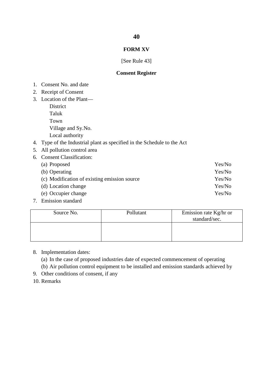#### **FORM XV**

#### [See Rule 43]

#### **Consent Register**

- 1. Consent No. and date
- 2. Receipt of Consent
- 3. Location of the Plant—
	- District
	- Taluk
	- Town
	- Village and Sy.No.
	- Local authority
- 4. Type of the Industrial plant as specified in the Schedule to the Act 5. All pollution control area
- 
- 6. Consent Classification:

| (a) Proposed                                 | Yes/No |
|----------------------------------------------|--------|
| (b) Operating                                | Yes/No |
| (c) Modification of existing emission source | Yes/No |
| (d) Location change                          | Yes/No |
| (e) Occupier change                          | Yes/No |
|                                              |        |

7. Emission standard

| Source No. | Pollutant | Emission rate Kg/hr or<br>standard/sec. |
|------------|-----------|-----------------------------------------|
|            |           |                                         |

- 8. Implementation dates:
	- (a) In the case of proposed industries date of expected commencement of operating
	- (b) Air pollution control equipment to be installed and emission standards achieved by
- 9. Other conditions of consent, if any
- 10. Remarks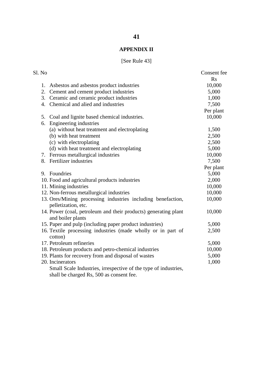# **APPENDIX II**

# [See Rule 43]

| Sl. No |                                                                                      | Consent fee |
|--------|--------------------------------------------------------------------------------------|-------------|
|        |                                                                                      | <b>Rs</b>   |
| 1.     | Asbestos and asbestos product industries                                             | 10,000      |
|        | 2. Cement and cement product industries                                              | 5,000       |
|        | 3. Ceramic and ceramic product industries                                            | 1,000       |
|        | 4. Chemical and alied and industries                                                 | 7,500       |
|        |                                                                                      | Per plant   |
|        | 5. Coal and lignite based chemical industries.                                       | 10,000      |
| 6.     | Engineering industries                                                               |             |
|        | (a) without heat treatment and electroplating                                        | 1,500       |
|        | (b) with heat treatment                                                              | 2,500       |
|        | (c) with electroplating                                                              | 2,500       |
|        | (d) with heat treatment and electroplating                                           | 5,000       |
|        | 7. Ferrous metallurgical industries                                                  | 10,000      |
|        | 8. Fertilizer industries                                                             | 7,500       |
|        |                                                                                      | Per plant   |
|        | 9. Foundries                                                                         | 5,000       |
|        | 10. Food and agricultural products industries                                        | 2,000       |
|        | 11. Mining industries                                                                | 10,000      |
|        | 12. Non-ferrous metallurgical industries                                             | 10,000      |
|        | 13. Ores/Mining processing industries including benefaction,<br>pelletization, etc.  | 10,000      |
|        | 14. Power (coal, petroleum and their products) generating plant<br>and boiler plants | 10,000      |
|        | 15. Paper and pulp (including paper product industries)                              | 5,000       |
|        | 16. Textile processing industries (made wholly or in part of<br>cotton)              | 2,500       |
|        | 17. Petroleum refineries                                                             | 5,000       |
|        | 18. Petroleum products and petro-chemical industries                                 | 10,000      |
|        | 19. Plants for recovery from and disposal of wastes                                  | 5,000       |
|        | 20. Incinerators                                                                     | 1,000       |
|        | Small Scale Industries, irrespective of the type of industries,                      |             |
|        | shall be charged Rs, 500 as consent fee.                                             |             |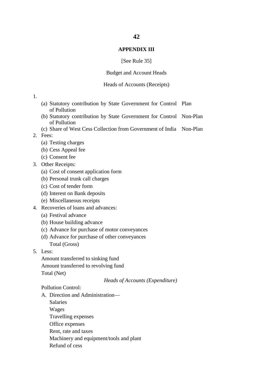#### **APPENDIX III**

#### [See Rule 35]

#### Budget and Account Heads

#### Heads of Accounts (Receipts)

#### 1.

- (a) Statutory contribution by State Government for Control Plan of Pollution
- (b) Statutory contribution by State Government for Control Non-Plan of Pollution
- (c) Share of West Cess Collection from Government of India Non-Plan
- 2. Fees:
	- (a) Testing charges
	- (b) Cess Appeal fee
	- (c) Consent fee
- 3. Other Receipts:
	- (a) Cost of consent application form
	- (b) Personal trunk call charges
	- (c) Cost of tender form
	- (d) Interest on Bank deposits
	- (e) Miscellaneous receipts
- 4. Recoveries of loans and advances:
	- (a) Festival advance
	- (b) House building advance
	- (c) Advance for purchase of motor conveyances
	- (d) Advance for purchase of other conveyances
		- Total (Gross)
- 5. Less:

Amount transferred to sinking fund Amount transferred to revolving fund Total (Net)

*Heads of Accounts (Expenditure)* 

Pollution Control:

- A. Direction and Administration—
	- Salaries
	- Wages
	- Travelling expenses
	- Office expenses
	- Rent, rate and taxes
	- Machinery and equipment/tools and plant
	- Refund of cess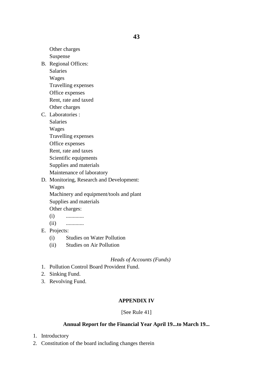Other charges

- Suspense
- B. Regional Offices:
	- Salaries
	- Wages
	- Travelling expenses
	- Office expenses
	- Rent, rate and taxed
	- Other charges
- C. Laboratories :
	- Salaries
	- Wages
	- Travelling expenses
	- Office expenses
	- Rent, rate and taxes
	- Scientific equipments
	- Supplies and materials
	- Maintenance of laboratory
- D. Monitoring, Research and Development: Wages
	- Machinery and equipment/tools and plant Supplies and materials
	- Other charges:
	- (i) .............
	- (ii) ..............
- E. Projects:
	- (i) Studies on Water Pollution
	- (ii) Studies on Air Pollution

# *Heads of Accounts (Funds)*

- 1. Pollution Control Board Provident Fund.
- 2. Sinking Fund.
- 3. Revolving Fund.

# **APPENDIX IV**

# [See Rule 41]

# **Annual Report for the Financial Year April 19...to March 19...**

- 1. Introductory
- 2. Constitution of the board including changes therein